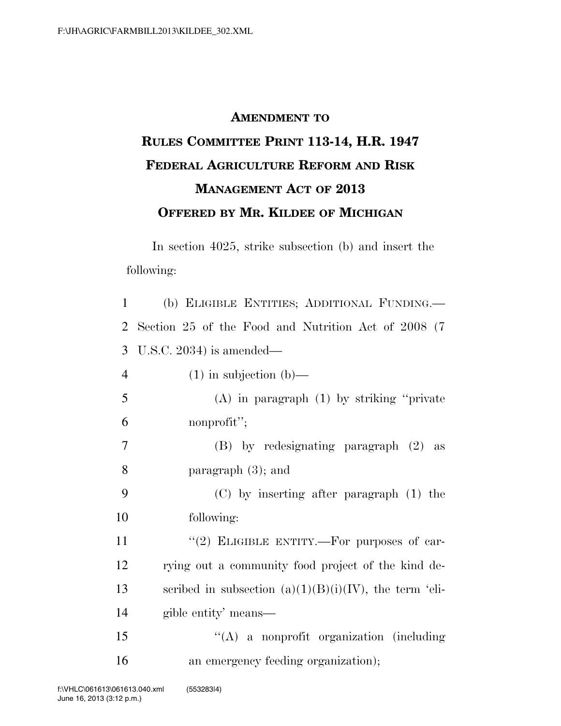## **AMENDMENT TO RULES COMMITTEE PRINT 113-14, H.R. 1947 FEDERAL AGRICULTURE REFORM AND RISK MANAGEMENT ACT OF 2013 OFFERED BY MR. KILDEE OF MICHIGAN**

In section 4025, strike subsection (b) and insert the following:

 (b) ELIGIBLE ENTITIES; ADDITIONAL FUNDING.— Section 25 of the Food and Nutrition Act of 2008 (7 U.S.C. 2034) is amended— (1) in subjection (b)— (A) in paragraph (1) by striking ''private nonprofit''; (B) by redesignating paragraph (2) as paragraph (3); and (C) by inserting after paragraph (1) the following:  $(2)$  ELIGIBLE ENTITY.—For purposes of car- rying out a community food project of the kind de-13 scribed in subsection  $(a)(1)(B)(i)(IV)$ , the term 'eli- gible entity' means— ''(A) a nonprofit organization (including 16 an emergency feeding organization);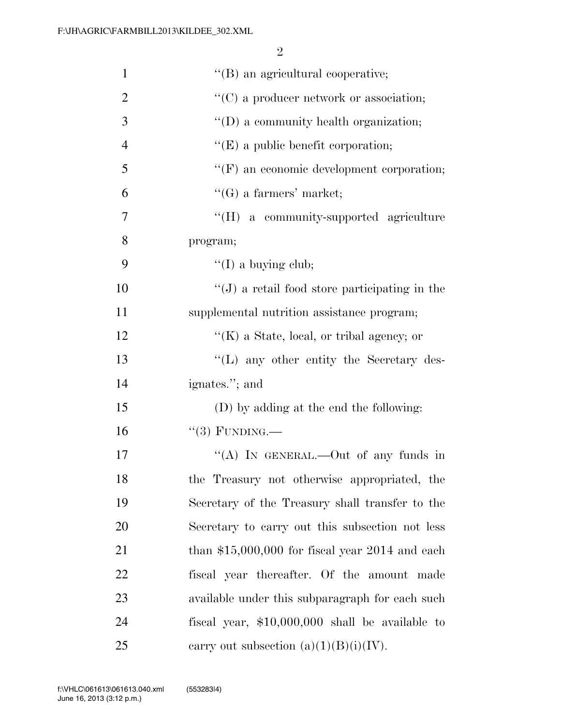| $\mathbf{1}$   | $\lq\lq$ (B) an agricultural cooperative;        |
|----------------|--------------------------------------------------|
| $\overline{2}$ | $\lq\lq$ (C) a producer network or association;  |
| 3              | "(D) a community health organization;            |
| $\overline{4}$ | $\lq\lq(E)$ a public benefit corporation;        |
| 5              | $\lq\lq(F)$ an economic development corporation; |
| 6              | $\lq\lq(G)$ a farmers' market;                   |
| 7              | "(H) a community-supported agriculture           |
| 8              | program;                                         |
| 9              | $\lq\lq$ (I) a buying club;                      |
| 10             | $``(J)$ a retail food store participating in the |
| 11             | supplemental nutrition assistance program;       |
| 12             | " $(K)$ a State, local, or tribal agency; or     |
| 13             | $\lq\lq$ . The secretary des-                    |
| 14             | ignates."; and                                   |
| 15             | (D) by adding at the end the following:          |
| 16             | $``(3)$ FUNDING.—                                |
| 17             | "(A) IN GENERAL.—Out of any funds in             |
| 18             | the Treasury not otherwise appropriated, the     |
| 19             | Secretary of the Treasury shall transfer to the  |
| 20             | Secretary to carry out this subsection not less  |
| 21             | than $$15,000,000$ for fiscal year 2014 and each |
| 22             | fiscal year thereafter. Of the amount made       |
| 23             | available under this subparagraph for each such  |
| 24             | fiscal year, $$10,000,000$ shall be available to |
| 25             | carry out subsection $(a)(1)(B)(i)(IV)$ .        |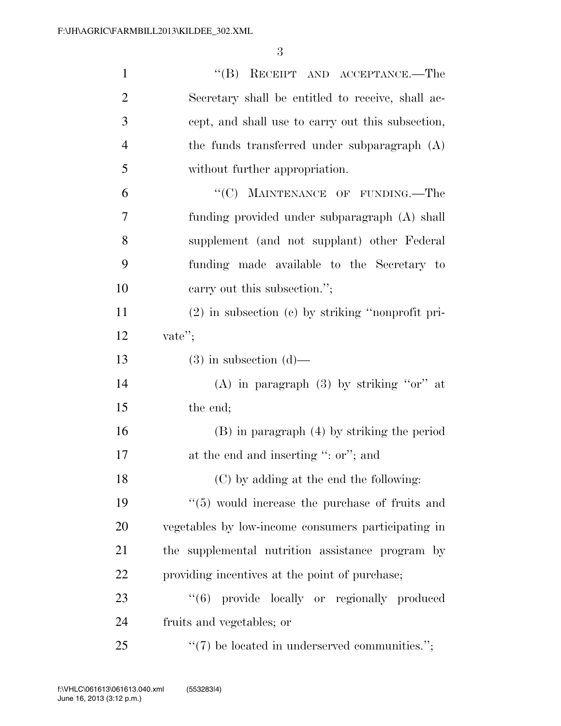| $\mathbf{1}$   | "(B) RECEIPT AND ACCEPTANCE.—The                           |
|----------------|------------------------------------------------------------|
| $\overline{2}$ | Secretary shall be entitled to receive, shall ac-          |
| 3              | cept, and shall use to carry out this subsection,          |
| $\overline{4}$ | the funds transferred under subparagraph (A)               |
| 5              | without further appropriation.                             |
| 6              | "(C) MAINTENANCE OF FUNDING.—The                           |
| 7              | funding provided under subparagraph (A) shall              |
| 8              | supplement (and not supplant) other Federal                |
| 9              | funding made available to the Secretary to                 |
| 10             | carry out this subsection.";                               |
| 11             | $(2)$ in subsection $(c)$ by striking "nonprofit pri-      |
| 12             | vate";                                                     |
| 13             | $(3)$ in subsection $(d)$ —                                |
| 14             | (A) in paragraph $(3)$ by striking "or" at                 |
| 15             | the end;                                                   |
| 16             | $(B)$ in paragraph $(4)$ by striking the period            |
| 17             | at the end and inserting ": or"; and                       |
| 18             | (C) by adding at the end the following:                    |
| 19             | $\cdot\cdot$ (5) would increase the purchase of fruits and |
| 20             | vegetables by low-income consumers participating in        |
| 21             | the supplemental nutrition assistance program by           |
| 22             | providing incentives at the point of purchase;             |
| 23             | "(6) provide locally or regionally produced                |
| 24             | fruits and vegetables; or                                  |
| 25             | $``(7)$ be located in underserved communities.";           |
|                |                                                            |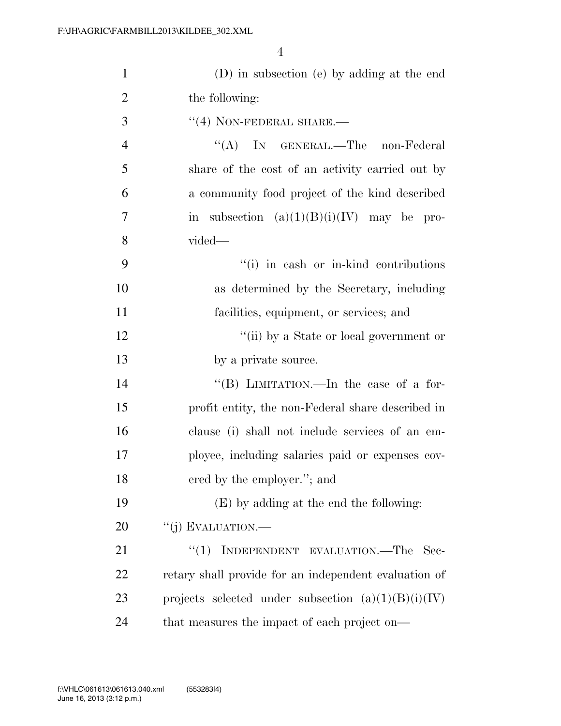| $\mathbf{1}$   | (D) in subsection (e) by adding at the end            |
|----------------|-------------------------------------------------------|
| $\overline{2}$ | the following:                                        |
| 3              | $``(4)$ NON-FEDERAL SHARE.—                           |
| 4              | ``(A)<br>IN GENERAL.—The non-Federal                  |
| 5              | share of the cost of an activity carried out by       |
| 6              | a community food project of the kind described        |
| 7              | in subsection $(a)(1)(B)(i)(IV)$ may be pro-          |
| 8              | $vided$ —                                             |
| 9              | "(i) in eash or in-kind contributions                 |
| 10             | as determined by the Secretary, including             |
| 11             | facilities, equipment, or services; and               |
| 12             | "(ii) by a State or local government or               |
| 13             | by a private source.                                  |
| 14             | "(B) LIMITATION.—In the case of a for-                |
| 15             | profit entity, the non-Federal share described in     |
| 16             | clause (i) shall not include services of an em-       |
| 17             | ployee, including salaries paid or expenses cov-      |
| 18             | ered by the employer."; and                           |
| 19             | (E) by adding at the end the following:               |
| 20             | "(j) EVALUATION.—                                     |
| 21             | INDEPENDENT EVALUATION.—The Sec-<br>``(1)             |
| 22             | retary shall provide for an independent evaluation of |
| 23             | projects selected under subsection $(a)(1)(B)(i)(IV)$ |
| 24             | that measures the impact of each project on—          |